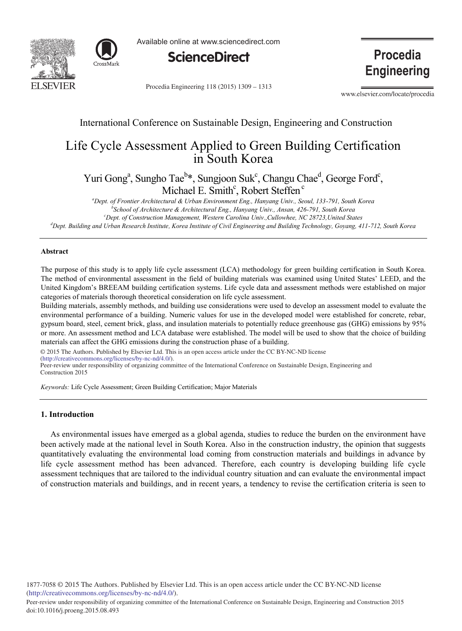



Available online at www.sciencedirect.com



Procedia Engineering 118 (2015) 1309 - 1313

**Procedia Engineering** 

www.elsevier.com/locate/procedia

### International Conference on Sustainable Design, Engineering and Construction

## Life Cycle Assessment Applied to Green Building Certification in South Korea

Yuri Gong<sup>a</sup>, Sungho Tae<sup>b\*</sup>, Sungjoon Suk<sup>c</sup>, Changu Chae<sup>d</sup>, George Ford<sup>c</sup>, Michael E. Smith<sup>c</sup>, Robert Steffen<sup>c</sup>

*a Dept. of Frontier Architectural & Urban Environment Eng., Hanyang Univ., Seoul, 133-791, South Korea b School of Architecture & Architectural Eng., Hanyang Univ., Ansan, 426-791, South Korea c Dept. of Construction Management, Western Carolina Univ.,Cullowhee, NC 28723,United States*

*d Dept. Building and Urban Research Institute, Korea Institute of Civil Engineering and Building Technology, Goyang, 411-712, South Korea*

#### **Abstract**

The purpose of this study is to apply life cycle assessment (LCA) methodology for green building certification in South Korea. The method of environmental assessment in the field of building materials was examined using United States' LEED, and the United Kingdom's BREEAM building certification systems. Life cycle data and assessment methods were established on major categories of materials thorough theoretical consideration on life cycle assessment.

Building materials, assembly methods, and building use considerations were used to develop an assessment model to evaluate the environmental performance of a building. Numeric values for use in the developed model were established for concrete, rebar, gypsum board, steel, cement brick, glass, and insulation materials to potentially reduce greenhouse gas (GHG) emissions by 95% or more. An assessment method and LCA database were established. The model will be used to show that the choice of building materials can affect the GHG emissions during the construction phase of a building.

© 2015 The Authors. Published by Elsevier Ltd. © 2015 The Authors. Published by Elsevier Ltd. This is an open access article under the CC BY-NC-ND license

(http://creativecommons.org/licenses/by-nc-nd/4.0/).

(http://creativecommons.org/licenses/by-nc-nd/4.0/).<br>Peer-review under responsibility of organizing committee of the International Conference on Sustainable Design, Engineering and reef-review under responsi-<br>Construction 2015

*Keywords:* Life Cycle Assessment; Green Building Certification; Major Materials

#### **1. Introduction**

As environmental issues have emerged as a global agenda, studies to reduce the burden on the environment have been actively made at the national level in South Korea. Also in the construction industry, the opinion that suggests quantitatively evaluating the environmental load coming from construction materials and buildings in advance by life cycle assessment method has been advanced. Therefore, each country is developing building life cycle assessment techniques that are tailored to the individual country situation and can evaluate the environmental impact of construction materials and buildings, and in recent years, a tendency to revise the certification criteria is seen to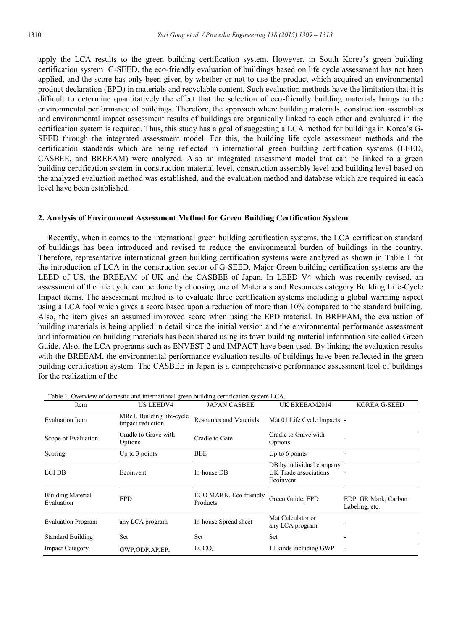apply the LCA results to the green building certification system. However, in South Korea's green building certification system G-SEED, the eco-friendly evaluation of buildings based on life cycle assessment has not been applied, and the score has only been given by whether or not to use the product which acquired an environmental product declaration (EPD) in materials and recyclable content. Such evaluation methods have the limitation that it is difficult to determine quantitatively the effect that the selection of eco-friendly building materials brings to the environmental performance of buildings. Therefore, the approach where building materials, construction assemblies and environmental impact assessment results of buildings are organically linked to each other and evaluated in the certification system is required. Thus, this study has a goal of suggesting a LCA method for buildings in Korea's G-SEED through the integrated assessment model. For this, the building life cycle assessment methods and the certification standards which are being reflected in international green building certification systems (LEED, CASBEE, and BREEAM) were analyzed. Also an integrated assessment model that can be linked to a green building certification system in construction material level, construction assembly level and building level based on the analyzed evaluation method was established, and the evaluation method and database which are required in each level have been established.

#### **2. Analysis of Environment Assessment Method for Green Building Certification System**

Recently, when it comes to the international green building certification systems, the LCA certification standard of buildings has been introduced and revised to reduce the environmental burden of buildings in the country. Therefore, representative international green building certification systems were analyzed as shown in Table 1 for the introduction of LCA in the construction sector of G-SEED. Major Green building certification systems are the LEED of US, the BREEAM of UK and the CASBEE of Japan. In LEED V4 which was recently revised, an assessment of the life cycle can be done by choosing one of Materials and Resources category Building Life-Cycle Impact items. The assessment method is to evaluate three certification systems including a global warming aspect using a LCA tool which gives a score based upon a reduction of more than 10% compared to the standard building. Also, the item gives an assumed improved score when using the EPD material. In BREEAM, the evaluation of building materials is being applied in detail since the initial version and the environmental performance assessment and information on building materials has been shared using its town building material information site called Green Guide. Also, the LCA programs such as ENVEST 2 and IMPACT have been used. By linking the evaluation results with the BREEAM, the environmental performance evaluation results of buildings have been reflected in the green building certification system. The CASBEE in Japan is a comprehensive performance assessment tool of buildings for the realization of the

| Item                                   | <b>US LEEDV4</b>                              | <b>JAPAN CASBEE</b>                | UK BREEAM2014                                                  | <b>KOREA G-SEED</b>                    |
|----------------------------------------|-----------------------------------------------|------------------------------------|----------------------------------------------------------------|----------------------------------------|
| Evaluation Item                        | MRc1. Building life-cycle<br>impact reduction | Resources and Materials            | Mat 01 Life Cycle Impacts -                                    |                                        |
| Scope of Evaluation                    | Cradle to Grave with<br>Options               | Cradle to Gate                     | Cradle to Grave with<br>Options                                |                                        |
| Scoring                                | Up to 3 points                                | <b>BEE</b>                         | Up to 6 points                                                 |                                        |
| LCI DB                                 | Ecoinvent                                     | In-house DB                        | DB by individual company<br>UK Trade associations<br>Ecoinvent |                                        |
| <b>Building Material</b><br>Evaluation | EPD                                           | ECO MARK, Eco friendly<br>Products | Green Guide, EPD                                               | EDP, GR Mark, Carbon<br>Labeling, etc. |
| <b>Evaluation Program</b>              | any LCA program                               | In-house Spread sheet              | Mat Calculator or<br>any LCA program                           |                                        |
| <b>Standard Building</b>               | Set                                           | Set                                | Set                                                            |                                        |
| <b>Impact Category</b>                 | GWP,ODP,AP,EP,                                | LCCO <sub>2</sub>                  | 11 kinds including GWP                                         |                                        |

Table 1. Overview of domestic and international green building certification system LCA.